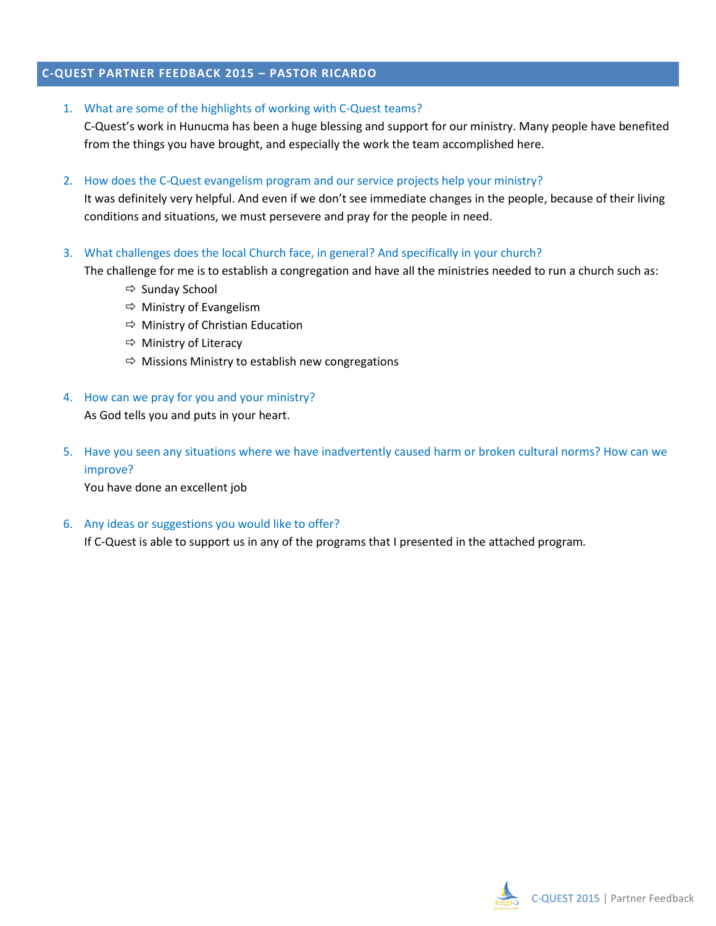# **C-QUEST PARTNER FEEDBACK 2015 – PASTOR RICARDO**

1. What are some of the highlights of working with C-Quest teams?

C-Quest's work in Hunucma has been a huge blessing and support for our ministry. Many people have benefited from the things you have brought, and especially the work the team accomplished here.

2. How does the C-Quest evangelism program and our service projects help your ministry?

It was definitely very helpful. And even if we don't see immediate changes in the people, because of their living conditions and situations, we must persevere and pray for the people in need.

3. What challenges does the local Church face, in general? And specifically in your church?

The challenge for me is to establish a congregation and have all the ministries needed to run a church such as:

- $\Rightarrow$  Sunday School
- $\Rightarrow$  Ministry of Evangelism
- $\Rightarrow$  Ministry of Christian Education
- $\Rightarrow$  Ministry of Literacy
- $\Rightarrow$  Missions Ministry to establish new congregations
- 4. How can we pray for you and your ministry?

As God tells you and puts in your heart.

5. Have you seen any situations where we have inadvertently caused harm or broken cultural norms? How can we improve?

You have done an excellent job

6. Any ideas or suggestions you would like to offer?  

If C-Quest is able to support us in any of the programs that I presented in the attached program*.*

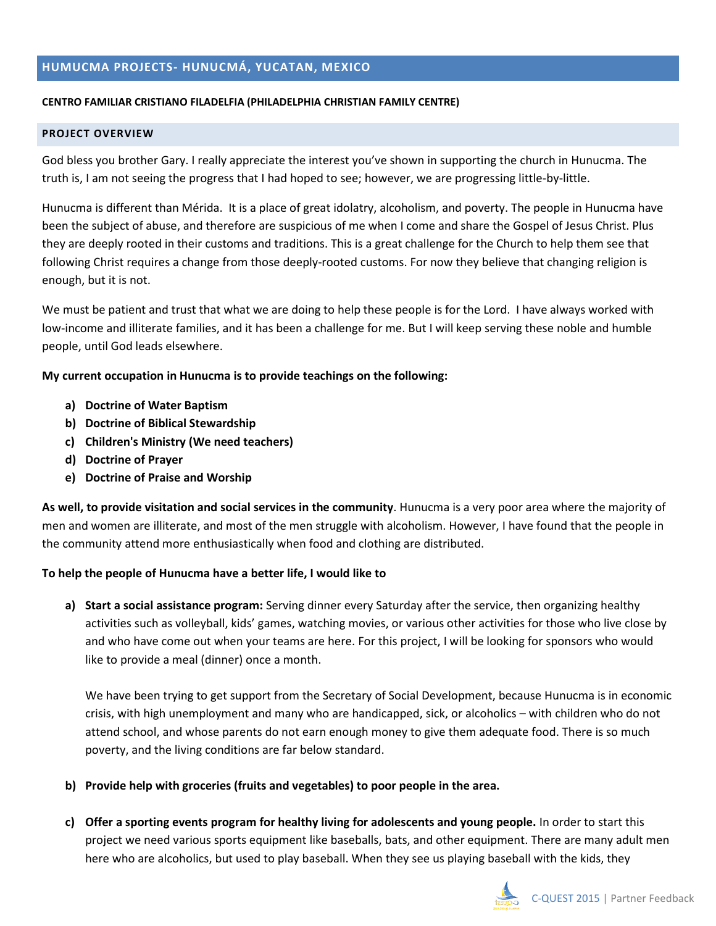### **HUMUCMA PROJECTS- HUNUCMÁ, YUCATAN, MEXICO**

#### **CENTRO FAMILIAR CRISTIANO FILADELFIA (PHILADELPHIA CHRISTIAN FAMILY CENTRE)**

#### **PROJECT OVERVIEW**

God bless you brother Gary. I really appreciate the interest you've shown in supporting the church in Hunucma. The truth is, I am not seeing the progress that I had hoped to see; however, we are progressing little-by-little.

Hunucma is different than Mérida. It is a place of great idolatry, alcoholism, and poverty. The people in Hunucma have been the subject of abuse, and therefore are suspicious of me when I come and share the Gospel of Jesus Christ. Plus they are deeply rooted in their customs and traditions. This is a great challenge for the Church to help them see that following Christ requires a change from those deeply-rooted customs. For now they believe that changing religion is enough, but it is not.

We must be patient and trust that what we are doing to help these people is for the Lord. I have always worked with low-income and illiterate families, and it has been a challenge for me. But I will keep serving these noble and humble people, until God leads elsewhere.

### **My current occupation in Hunucma is to provide teachings on the following:**

- **a) Doctrine of Water Baptism**
- **b) Doctrine of Biblical Stewardship**
- **c) Children's Ministry (We need teachers)**
- **d) Doctrine of Prayer**
- **e) Doctrine of Praise and Worship**

**As well, to provide visitation and social services in the community**. Hunucma is a very poor area where the majority of men and women are illiterate, and most of the men struggle with alcoholism. However, I have found that the people in the community attend more enthusiastically when food and clothing are distributed.

## **To help the people of Hunucma have a better life, I would like to**

**a) Start a social assistance program:** Serving dinner every Saturday after the service, then organizing healthy activities such as volleyball, kids' games, watching movies, or various other activities for those who live close by and who have come out when your teams are here. For this project, I will be looking for sponsors who would like to provide a meal (dinner) once a month.

We have been trying to get support from the Secretary of Social Development, because Hunucma is in economic crisis, with high unemployment and many who are handicapped, sick, or alcoholics – with children who do not attend school, and whose parents do not earn enough money to give them adequate food. There is so much poverty, and the living conditions are far below standard.

- **b) Provide help with groceries (fruits and vegetables) to poor people in the area.**
- **c) Offer a sporting events program for healthy living for adolescents and young people.** In order to start this project we need various sports equipment like baseballs, bats, and other equipment. There are many adult men here who are alcoholics, but used to play baseball. When they see us playing baseball with the kids, they